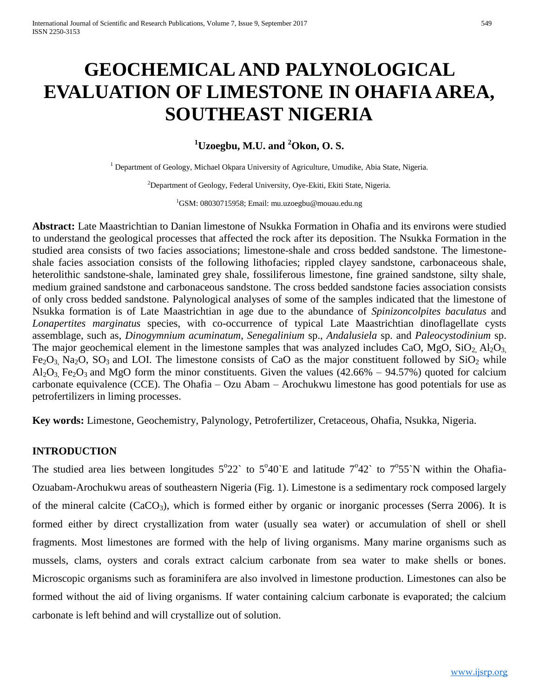# **GEOCHEMICAL AND PALYNOLOGICAL EVALUATION OF LIMESTONE IN OHAFIA AREA, SOUTHEAST NIGERIA**

# **<sup>1</sup>Uzoegbu, M.U. and <sup>2</sup>Okon, O. S.**

<sup>1</sup> Department of Geology, Michael Okpara University of Agriculture, Umudike, Abia State, Nigeria.

<sup>2</sup>Department of Geology, Federal University, Oye-Ekiti, Ekiti State, Nigeria.

 ${}^{1}$ GSM: 08030715958; Email: mu.uzoegbu@mouau.edu.ng

**Abstract:** Late Maastrichtian to Danian limestone of Nsukka Formation in Ohafia and its environs were studied to understand the geological processes that affected the rock after its deposition. The Nsukka Formation in the studied area consists of two facies associations; limestone-shale and cross bedded sandstone. The limestoneshale facies association consists of the following lithofacies; rippled clayey sandstone, carbonaceous shale, heterolithic sandstone-shale, laminated grey shale, fossiliferous limestone, fine grained sandstone, silty shale, medium grained sandstone and carbonaceous sandstone. The cross bedded sandstone facies association consists of only cross bedded sandstone. Palynological analyses of some of the samples indicated that the limestone of Nsukka formation is of Late Maastrichtian in age due to the abundance of *Spinizoncolpites baculatus* and *Lonapertites marginatus* species, with co-occurrence of typical Late Maastrichtian dinoflagellate cysts assemblage, such as, *Dinogymnium acuminatum*, *Senegalinium* sp., *Andalusiela* sp. and *Paleocystodinium* sp. The major geochemical element in the limestone samples that was analyzed includes CaO, MgO,  $SiO<sub>2</sub> Al<sub>2</sub>O<sub>3</sub>$  $Fe<sub>2</sub>O<sub>3</sub>$  Na<sub>2</sub>O, SO<sub>3</sub> and LOI. The limestone consists of CaO as the major constituent followed by SiO<sub>2</sub> while  $Al_2O_3$ , Fe<sub>2</sub>O<sub>3</sub> and MgO form the minor constituents. Given the values (42.66% – 94.57%) quoted for calcium carbonate equivalence (CCE). The Ohafia – Ozu Abam – Arochukwu limestone has good potentials for use as petrofertilizers in liming processes.

**Key words:** Limestone, Geochemistry, Palynology, Petrofertilizer, Cretaceous, Ohafia, Nsukka, Nigeria.

## **INTRODUCTION**

The studied area lies between longitudes  $5^{\circ}22^{\circ}$  to  $5^{\circ}40^{\circ}E$  and latitude  $7^{\circ}42^{\circ}$  to  $7^{\circ}55^{\circ}N$  within the Ohafia-Ozuabam-Arochukwu areas of southeastern Nigeria (Fig. 1). Limestone is a sedimentary rock composed largely of the mineral calcite  $(CaCO<sub>3</sub>)$ , which is formed either by organic or inorganic processes (Serra 2006). It is formed either by direct crystallization from water (usually sea water) or accumulation of shell or shell fragments. Most limestones are formed with the help of living organisms. Many marine organisms such as mussels, clams, oysters and corals extract calcium carbonate from sea water to make shells or bones. Microscopic organisms such as foraminifera are also involved in limestone production. Limestones can also be formed without the aid of living organisms. If water containing calcium carbonate is evaporated; the calcium carbonate is left behind and will crystallize out of solution.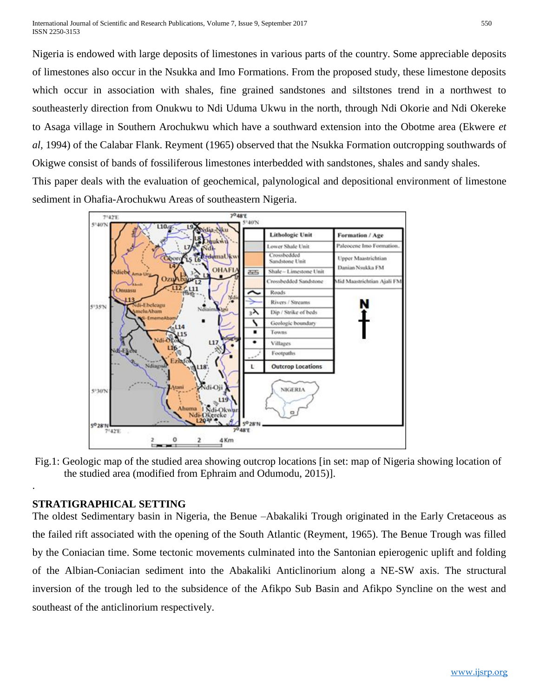Nigeria is endowed with large deposits of limestones in various parts of the country. Some appreciable deposits of limestones also occur in the Nsukka and Imo Formations. From the proposed study, these limestone deposits which occur in association with shales, fine grained sandstones and siltstones trend in a northwest to southeasterly direction from Onukwu to Ndi Uduma Ukwu in the north, through Ndi Okorie and Ndi Okereke to Asaga village in Southern Arochukwu which have a southward extension into the Obotme area (Ekwere *et al,* 1994) of the Calabar Flank. Reyment (1965) observed that the Nsukka Formation outcropping southwards of Okigwe consist of bands of fossiliferous limestones interbedded with sandstones, shales and sandy shales.

This paper deals with the evaluation of geochemical, palynological and depositional environment of limestone sediment in Ohafia-Arochukwu Areas of southeastern Nigeria.



Fig.1: Geologic map of the studied area showing outcrop locations [in set: map of Nigeria showing location of the studied area (modified from Ephraim and Odumodu, 2015)].

## **STRATIGRAPHICAL SETTING**

.

The oldest Sedimentary basin in Nigeria, the Benue –Abakaliki Trough originated in the Early Cretaceous as the failed rift associated with the opening of the South Atlantic (Reyment, 1965). The Benue Trough was filled by the Coniacian time. Some tectonic movements culminated into the Santonian epierogenic uplift and folding of the Albian-Coniacian sediment into the Abakaliki Anticlinorium along a NE-SW axis. The structural inversion of the trough led to the subsidence of the Afikpo Sub Basin and Afikpo Syncline on the west and southeast of the anticlinorium respectively.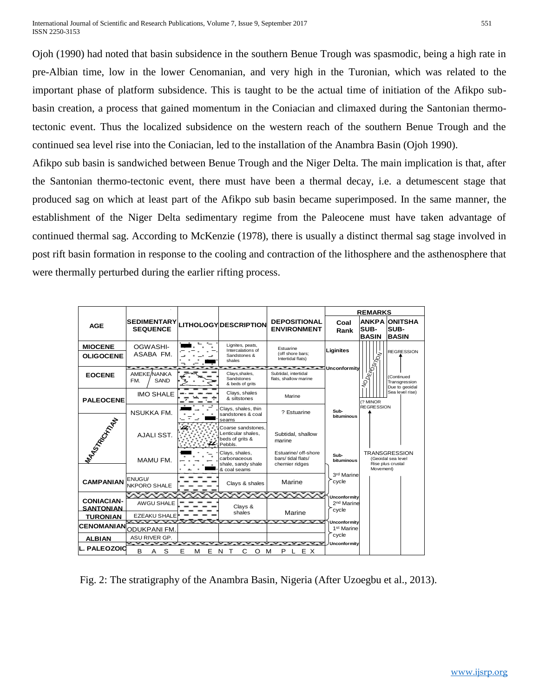Ojoh (1990) had noted that basin subsidence in the southern Benue Trough was spasmodic, being a high rate in pre-Albian time, low in the lower Cenomanian, and very high in the Turonian, which was related to the important phase of platform subsidence. This is taught to be the actual time of initiation of the Afikpo subbasin creation, a process that gained momentum in the Coniacian and climaxed during the Santonian thermotectonic event. Thus the localized subsidence on the western reach of the southern Benue Trough and the continued sea level rise into the Coniacian, led to the installation of the Anambra Basin (Ojoh 1990).

Afikpo sub basin is sandwiched between Benue Trough and the Niger Delta. The main implication is that, after the Santonian thermo-tectonic event, there must have been a thermal decay, i.e. a detumescent stage that produced sag on which at least part of the Afikpo sub basin became superimposed. In the same manner, the establishment of the Niger Delta sedimentary regime from the Paleocene must have taken advantage of continued thermal sag. According to McKenzie (1978), there is usually a distinct thermal sag stage involved in post rift basin formation in response to the cooling and contraction of the lithosphere and the asthenosphere that were thermally perturbed during the earlier rifting process.

|                                       |                                         |             |                                                                             |                                                              | <b>REMARKS</b>                                    |                                      |                                                                 |  |
|---------------------------------------|-----------------------------------------|-------------|-----------------------------------------------------------------------------|--------------------------------------------------------------|---------------------------------------------------|--------------------------------------|-----------------------------------------------------------------|--|
| <b>AGE</b>                            | <b>SEDIMENTARY</b><br><b>SEQUENCE</b>   |             | <b>LITHOLOGY DESCRIPTION</b>                                                | <b>DEPOSITIONAL</b><br><b>ENVIRONMENT</b>                    | Coal<br>Rank                                      | <b>ANKPA</b><br>SUB-<br><b>BASIN</b> | <b>ONITSHA</b><br>SUB-<br><b>BASIN</b>                          |  |
| <b>MIOCENE</b><br><b>OLIGOCENE</b>    | OGWASHI-<br>ASABA FM.                   |             | Lignites, peats,<br>Intercalations of<br>Sandstones &<br>shales             | Estuarine<br>(off shore bars:<br>Intertidal flats)           | Liginites                                         |                                      | <b>REGRESSION</b>                                               |  |
| <b>EOCENE</b>                         | AMEKE/NANKA<br><b>SAND</b><br>FM.       |             | والموارد والمحارب<br>- 1<br>Clays, shales,<br>Sandstones<br>& beds of grits | v.<br>Subtidal, intertidal<br>flats, shallow marine          | Unconformitv                                      | <b>TROBETON</b>                      | (Continued<br>Transgression<br>Due to geoidal                   |  |
| <b>PALEOCENE</b>                      | <b>IMO SHALE</b>                        |             | Clays, shales<br>& siltstones                                               | Marine                                                       |                                                   | (? MINOR                             | Sea level rise)                                                 |  |
|                                       | <b>NSUKKA FM.</b>                       |             | Clays, shales, thin<br>sandstones & coal<br>seams                           | ? Estuarine                                                  | Sub-<br>bituminous                                | <b>REGRESSION</b>                    |                                                                 |  |
| MAROTAGORA I                          | AJALI SST.                              | u.          | Coarse sandstones.<br>Lenticular shales,<br>beds of grits &<br>Pebbls.      | Subtidal, shallow<br>marine                                  |                                                   |                                      |                                                                 |  |
|                                       | MAMU FM.                                |             | Clays, shales,<br>carbonaceous<br>shale, sandy shale<br>& coal seams        | Estuarine/ off-shore<br>bars/tidal flats/<br>chernier ridges | Sub-<br>bituminous                                | Movement)                            | <b>TRANSGRESSION</b><br>(Geoidal sea level<br>Rise plus crustal |  |
| <b>CAMPANIAN</b>                      | ENUGU/<br><b>NKPORO SHALE</b>           |             | Clays & shales                                                              | Marine                                                       | 3rd Marinel<br>cycle                              |                                      |                                                                 |  |
| <b>CONIACIAN-</b><br><b>SANTONIAN</b> | <b>AWGU SHALE</b>                       |             | Clays &<br>shales                                                           | Marine                                                       | Unconfor mit v<br>2 <sup>nd</sup> Marine<br>cycle |                                      |                                                                 |  |
| <b>TURONIAN</b>                       | <b>EZEAKU SHALE</b><br>us non mandar ar |             | ਹਾਰ ਹਾਰ ਹਨ                                                                  | <u>ੱ ਹਰਾਰ ਹਰਾਰ ਹ</u>                                         | Unconfor mity                                     |                                      |                                                                 |  |
| <b>CENOMANIAN</b>                     | <b>ODUKPANI FM</b>                      |             |                                                                             |                                                              | 1 <sup>st</sup> Marine                            |                                      |                                                                 |  |
| <b>ALBIAN</b>                         | ASU RIVER GP.                           |             |                                                                             |                                                              | cycle                                             |                                      |                                                                 |  |
| PALEOZOIC                             | <b>START START</b><br>B<br>S<br>A       | Е<br>Е<br>м | N<br>т<br>С<br>O                                                            | P<br>E X<br>м                                                | Unconfor mit v                                    |                                      |                                                                 |  |

Fig. 2: The stratigraphy of the Anambra Basin, Nigeria (After Uzoegbu et al., 2013).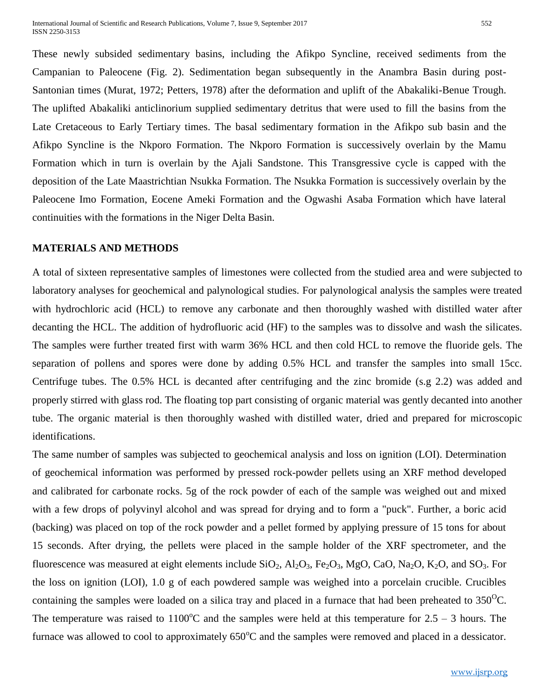These newly subsided sedimentary basins, including the Afikpo Syncline, received sediments from the Campanian to Paleocene (Fig. 2). Sedimentation began subsequently in the Anambra Basin during post-Santonian times (Murat, 1972; Petters, 1978) after the deformation and uplift of the Abakaliki-Benue Trough. The uplifted Abakaliki anticlinorium supplied sedimentary detritus that were used to fill the basins from the Late Cretaceous to Early Tertiary times. The basal sedimentary formation in the Afikpo sub basin and the Afikpo Syncline is the Nkporo Formation. The Nkporo Formation is successively overlain by the Mamu Formation which in turn is overlain by the Ajali Sandstone. This Transgressive cycle is capped with the deposition of the Late Maastrichtian Nsukka Formation. The Nsukka Formation is successively overlain by the Paleocene Imo Formation, Eocene Ameki Formation and the Ogwashi Asaba Formation which have lateral continuities with the formations in the Niger Delta Basin.

#### **MATERIALS AND METHODS**

A total of sixteen representative samples of limestones were collected from the studied area and were subjected to laboratory analyses for geochemical and palynological studies. For palynological analysis the samples were treated with hydrochloric acid (HCL) to remove any carbonate and then thoroughly washed with distilled water after decanting the HCL. The addition of hydrofluoric acid (HF) to the samples was to dissolve and wash the silicates. The samples were further treated first with warm 36% HCL and then cold HCL to remove the fluoride gels. The separation of pollens and spores were done by adding 0.5% HCL and transfer the samples into small 15cc. Centrifuge tubes. The 0.5% HCL is decanted after centrifuging and the zinc bromide (s.g 2.2) was added and properly stirred with glass rod. The floating top part consisting of organic material was gently decanted into another tube. The organic material is then thoroughly washed with distilled water, dried and prepared for microscopic identifications.

The same number of samples was subjected to geochemical analysis and loss on ignition (LOI). Determination of geochemical information was performed by pressed rock-powder pellets using an XRF method developed and calibrated for carbonate rocks. 5g of the rock powder of each of the sample was weighed out and mixed with a few drops of polyvinyl alcohol and was spread for drying and to form a "puck". Further, a boric acid (backing) was placed on top of the rock powder and a pellet formed by applying pressure of 15 tons for about 15 seconds. After drying, the pellets were placed in the sample holder of the XRF spectrometer, and the fluorescence was measured at eight elements include  $SiO_2$ ,  $Al_2O_3$ ,  $Fe_2O_3$ ,  $MgO$ ,  $CaO$ ,  $Na_2O$ ,  $K_2O$ , and  $SO_3$ . For the loss on ignition (LOI), 1.0 g of each powdered sample was weighed into a porcelain crucible. Crucibles containing the samples were loaded on a silica tray and placed in a furnace that had been preheated to  $350^{\circ}$ C. The temperature was raised to  $1100^{\circ}$ C and the samples were held at this temperature for  $2.5 - 3$  hours. The furnace was allowed to cool to approximately  $650^{\circ}$ C and the samples were removed and placed in a dessicator.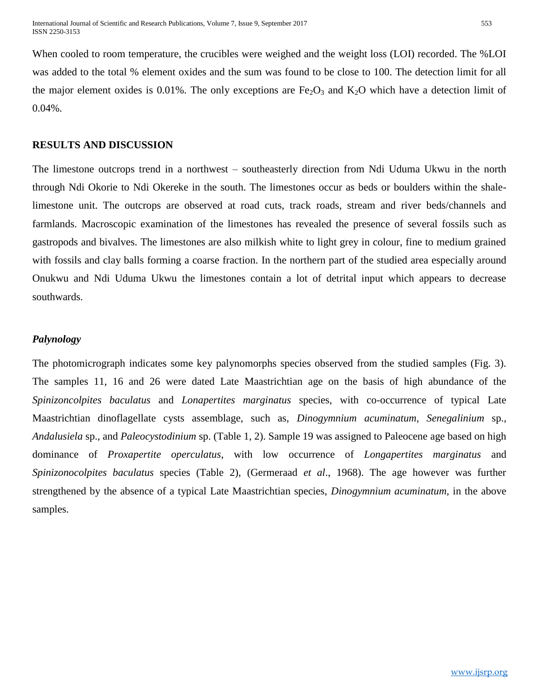When cooled to room temperature, the crucibles were weighed and the weight loss (LOI) recorded. The %LOI was added to the total % element oxides and the sum was found to be close to 100. The detection limit for all the major element oxides is 0.01%. The only exceptions are  $Fe<sub>2</sub>O<sub>3</sub>$  and K<sub>2</sub>O which have a detection limit of 0.04%.

#### **RESULTS AND DISCUSSION**

The limestone outcrops trend in a northwest – southeasterly direction from Ndi Uduma Ukwu in the north through Ndi Okorie to Ndi Okereke in the south. The limestones occur as beds or boulders within the shalelimestone unit. The outcrops are observed at road cuts, track roads, stream and river beds/channels and farmlands. Macroscopic examination of the limestones has revealed the presence of several fossils such as gastropods and bivalves. The limestones are also milkish white to light grey in colour, fine to medium grained with fossils and clay balls forming a coarse fraction. In the northern part of the studied area especially around Onukwu and Ndi Uduma Ukwu the limestones contain a lot of detrital input which appears to decrease southwards.

#### *Palynology*

The photomicrograph indicates some key palynomorphs species observed from the studied samples (Fig. 3). The samples 11, 16 and 26 were dated Late Maastrichtian age on the basis of high abundance of the *Spinizoncolpites baculatus* and *Lonapertites marginatus* species, with co-occurrence of typical Late Maastrichtian dinoflagellate cysts assemblage, such as, *Dinogymnium acuminatum*, *Senegalinium* sp., *Andalusiela* sp., and *Paleocystodinium* sp. (Table 1, 2). Sample 19 was assigned to Paleocene age based on high dominance of *Proxapertite operculatus*, with low occurrence of *Longapertites marginatus* and *Spinizonocolpites baculatus* species (Table 2), (Germeraad *et al*., 1968). The age however was further strengthened by the absence of a typical Late Maastrichtian species, *Dinogymnium acuminatum,* in the above samples.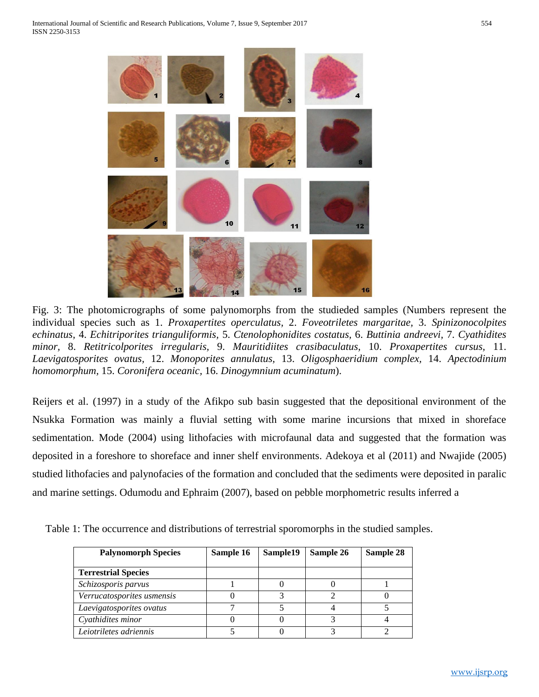

Fig. 3: The photomicrographs of some palynomorphs from the studieded samples (Numbers represent the individual species such as 1. *Proxapertites operculatus,* 2. *Foveotriletes margaritae,* 3. *Spinizonocolpites echinatus,* 4. *Echitriporites trianguliformis,* 5. *Ctenolophonidites costatus,* 6. *Buttinia andreevi,* 7. *Cyathidites minor,* 8. *Retitricolporites irregularis,* 9. *Mauritidiites crasibaculatus,* 10. *Proxapertites cursus,* 11. *Laevigatosporites ovatus,* 12. *Monoporites annulatus,* 13. *Oligosphaeridium complex,* 14. *Apectodinium homomorphum,* 15. *Coronifera oceanic,* 16. *Dinogymnium acuminatum*).

Reijers et al. (1997) in a study of the Afikpo sub basin suggested that the depositional environment of the Nsukka Formation was mainly a fluvial setting with some marine incursions that mixed in shoreface sedimentation. Mode (2004) using lithofacies with microfaunal data and suggested that the formation was deposited in a foreshore to shoreface and inner shelf environments. Adekoya et al (2011) and Nwajide (2005) studied lithofacies and palynofacies of the formation and concluded that the sediments were deposited in paralic and marine settings. Odumodu and Ephraim (2007), based on pebble morphometric results inferred a

Table 1: The occurrence and distributions of terrestrial sporomorphs in the studied samples.

| <b>Palynomorph Species</b> | Sample 16 | Sample19 | Sample 26 | Sample 28 |
|----------------------------|-----------|----------|-----------|-----------|
| <b>Terrestrial Species</b> |           |          |           |           |
| Schizosporis parvus        |           |          |           |           |
| Verrucatosporites usmensis |           |          |           |           |
| Laevigatosporites ovatus   |           |          |           |           |
| Cyathidites minor          |           |          |           |           |
| Leiotriletes adriennis     |           |          |           |           |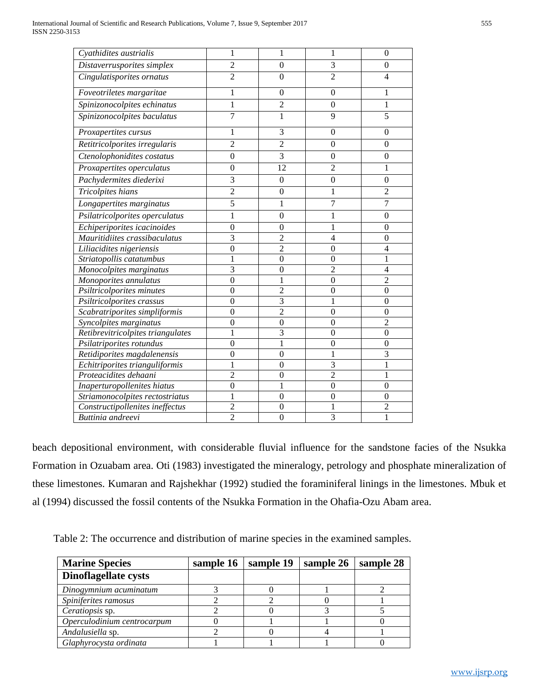| Cyathidites austrialis            | 1                | 1                | 1                | 0              |
|-----------------------------------|------------------|------------------|------------------|----------------|
| Distaverrusporites simplex        | $\overline{2}$   | $\mathbf{0}$     | 3                | $\overline{0}$ |
| Cingulatisporites ornatus         | $\overline{2}$   | $\theta$         | $\overline{2}$   | $\overline{4}$ |
| Foveotriletes margaritae          | 1                | $\overline{0}$   | $\overline{0}$   | 1              |
| Spinizonocolpites echinatus       | 1                | $\overline{2}$   | $\boldsymbol{0}$ | 1              |
| Spinizonocolpites baculatus       | $\overline{7}$   | 1                | 9                | 5              |
| Proxapertites cursus              | 1                | 3                | $\theta$         | 0              |
| Retitricolporites irregularis     | $\overline{2}$   | $\overline{2}$   | $\theta$         | $\theta$       |
| Ctenolophonidites costatus        | $\overline{0}$   | $\overline{3}$   | $\boldsymbol{0}$ | $\theta$       |
| Proxapertites operculatus         | $\boldsymbol{0}$ | 12               | $\overline{2}$   | 1              |
| Pachydermites diederixi           | 3                | $\boldsymbol{0}$ | $\boldsymbol{0}$ | $\mathbf{0}$   |
| Tricolpites hians                 | $\overline{2}$   | $\theta$         | 1                | $\overline{2}$ |
| Longapertites marginatus          | 5                | 1                | 7                | 7              |
| Psilatricolporites operculatus    | 1                | $\mathbf{0}$     | 1                | $\overline{0}$ |
| Echiperiporites icacinoides       | $\mathbf{0}$     | $\mathbf{0}$     | 1                | $\theta$       |
| Mauritidiites crassibaculatus     | $\overline{3}$   | $\overline{c}$   | $\overline{4}$   | $\theta$       |
| Liliacidites nigeriensis          | $\boldsymbol{0}$ | $\overline{2}$   | $\boldsymbol{0}$ | $\overline{4}$ |
| Striatopollis catatumbus          | 1                | $\mathbf{0}$     | $\overline{0}$   | 1              |
| Monocolpites marginatus           | 3                | $\overline{0}$   | $\overline{2}$   | 4              |
| Monoporites annulatus             | $\overline{0}$   | 1                | $\mathbf{0}$     | $\overline{2}$ |
| Psiltricolporites minutes         | $\boldsymbol{0}$ | $\overline{c}$   | $\mathbf{0}$     | $\theta$       |
| Psiltricolporites crassus         | $\mathbf{0}$     | 3                | 1                | $\theta$       |
| Scabratriporites simpliformis     | $\overline{0}$   | $\overline{2}$   | $\overline{0}$   | $\theta$       |
| Syncolpites marginatus            | $\boldsymbol{0}$ | $\boldsymbol{0}$ | $\boldsymbol{0}$ | $\overline{c}$ |
| Retibrevitricolpites triangulates | $\mathbf{1}$     | $\overline{3}$   | $\overline{0}$   | $\overline{0}$ |
| Psilatriporites rotundus          | $\mathbf{0}$     | 1                | $\mathbf{0}$     | $\theta$       |
| Retidiporites magdalenensis       | $\overline{0}$   | $\overline{0}$   |                  | 3              |
| Echitriporites trianguliformis    | 1                | $\overline{0}$   | 3                | $\mathbf{1}$   |
| Proteacidites dehaani             | $\overline{2}$   | $\mathbf{0}$     | $\overline{2}$   | 1              |
| Inaperturopollenites hiatus       | $\overline{0}$   | 1                | $\overline{0}$   | $\mathbf{0}$   |
| Striamonocolpites rectostriatus   | 1                | $\mathbf{0}$     | $\overline{0}$   | $\mathbf{0}$   |
| Constructipollenites ineffectus   | $\overline{2}$   | $\overline{0}$   | 1                | $\overline{c}$ |
| Buttinia andreevi                 | $\overline{2}$   | $\theta$         | 3                | 1              |

beach depositional environment, with considerable fluvial influence for the sandstone facies of the Nsukka Formation in Ozuabam area. Oti (1983) investigated the mineralogy, petrology and phosphate mineralization of these limestones. Kumaran and Rajshekhar (1992) studied the foraminiferal linings in the limestones. Mbuk et al (1994) discussed the fossil contents of the Nsukka Formation in the Ohafia-Ozu Abam area.

Table 2: The occurrence and distribution of marine species in the examined samples.

| <b>Marine Species</b>       | sample 16 | sample 19 | sample 26 | sample 28 |
|-----------------------------|-----------|-----------|-----------|-----------|
| <b>Dinoflagellate cysts</b> |           |           |           |           |
| Dinogymnium acuminatum      |           |           |           |           |
| Spiniferites ramosus        |           |           |           |           |
| Ceratiopsis sp.             |           |           |           |           |
| Operculodinium centrocarpum |           |           |           |           |
| Andalusiella sp.            |           |           |           |           |
| Glaphyrocysta ordinata      |           |           |           |           |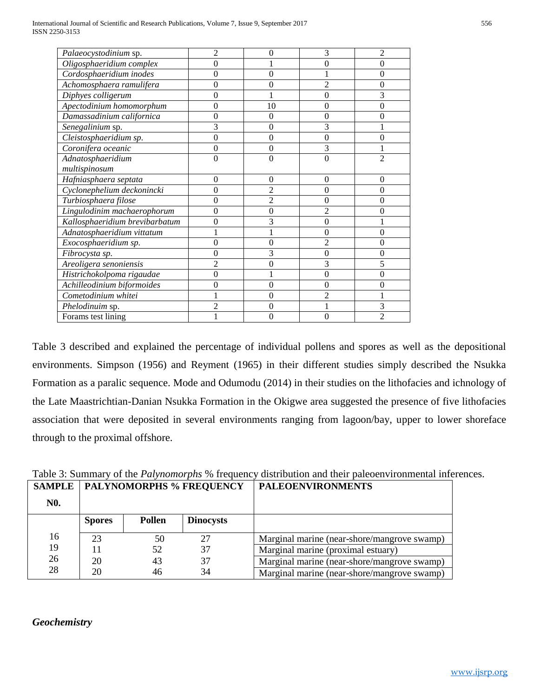| Palaeocystodinium sp.          | 2              | 0              | 3              | 2              |
|--------------------------------|----------------|----------------|----------------|----------------|
| Oligosphaeridium complex       | 0              |                | $\Omega$       | 0              |
| Cordosphaeridium inodes        | 0              | 0              |                | $\overline{0}$ |
| Achomosphaera ramulifera       | 0              | 0              | $\overline{c}$ | $\theta$       |
| Diphyes colligerum             | 0              |                | 0              | 3              |
| Apectodinium homomorphum       | 0              | 10             | $\Omega$       | $\overline{0}$ |
| Damassadinium californica      | 0              | 0              | $\Omega$       | $\theta$       |
| Senegalinium sp.               | 3              | 0              | 3              |                |
| Cleistosphaeridium sp.         | $\theta$       | 0              | $\Omega$       | $\theta$       |
| Coronifera oceanic             | $\overline{0}$ | 0              | 3              |                |
| Adnatosphaeridium              | 0              | 0              | $\Omega$       | $\mathfrak{D}$ |
| multispinosum                  |                |                |                |                |
| Hafniasphaera septata          | $\Omega$       | $\theta$       | $\Omega$       | $\theta$       |
| Cyclonephelium deckonincki     | 0              | $\overline{2}$ | $\Omega$       | $\theta$       |
| Turbiosphaera filose           | $\theta$       | $\mathfrak{D}$ | $\Omega$       | $\overline{0}$ |
| Lingulodinim machaerophorum    | 0              | 0              | $\mathfrak{D}$ | $\overline{0}$ |
| Kallosphaeridium brevibarbatum | 0              | 3              | 0              |                |
| Adnatosphaeridium vittatum     |                |                | $\theta$       | $\theta$       |
| Exocosphaeridium sp.           | $\theta$       | 0              | $\mathfrak{D}$ | $\overline{0}$ |
| Fibrocysta sp.                 | 0              | 3              | $\theta$       | $\mathbf{0}$   |
| Areoligera senoniensis         | $\mathfrak{D}$ | 0              | 3              | 5              |
| Histrichokolpoma rigaudae      | 0              |                | $\Omega$       | 0              |
| Achilleodinium biformoides     | 0              | 0              | $\Omega$       | $\overline{0}$ |
| Cometodinium whitei            |                | 0              | $\overline{2}$ |                |
| Phelodinuim sp.                | 2              | 0              |                | 3              |
| Forams test lining             |                | 0              |                | $\overline{c}$ |

Table 3 described and explained the percentage of individual pollens and spores as well as the depositional environments. Simpson (1956) and Reyment (1965) in their different studies simply described the Nsukka Formation as a paralic sequence. Mode and Odumodu (2014) in their studies on the lithofacies and ichnology of the Late Maastrichtian-Danian Nsukka Formation in the Okigwe area suggested the presence of five lithofacies association that were deposited in several environments ranging from lagoon/bay, upper to lower shoreface through to the proximal offshore.

|            | <b>SAMPLE   PALYNOMORPHS % FREQUENCY</b> |        |                  | <b>PALEOENVIRONMENTS</b>                    |
|------------|------------------------------------------|--------|------------------|---------------------------------------------|
| <b>NO.</b> |                                          |        |                  |                                             |
|            | <b>Spores</b>                            | Pollen | <b>Dinocysts</b> |                                             |
| 16         | 23                                       | 50     | 27               | Marginal marine (near-shore/mangrove swamp) |
| 19         |                                          | 52     | 37               | Marginal marine (proximal estuary)          |
| 26         | 20                                       | 43     | 37               | Marginal marine (near-shore/mangrove swamp) |
| 28         | 20                                       | 46     | 34               | Marginal marine (near-shore/mangrove swamp) |

Table 3: Summary of the *Palynomorphs* % frequency distribution and their paleoenvironmental inferences.

*Geochemistry*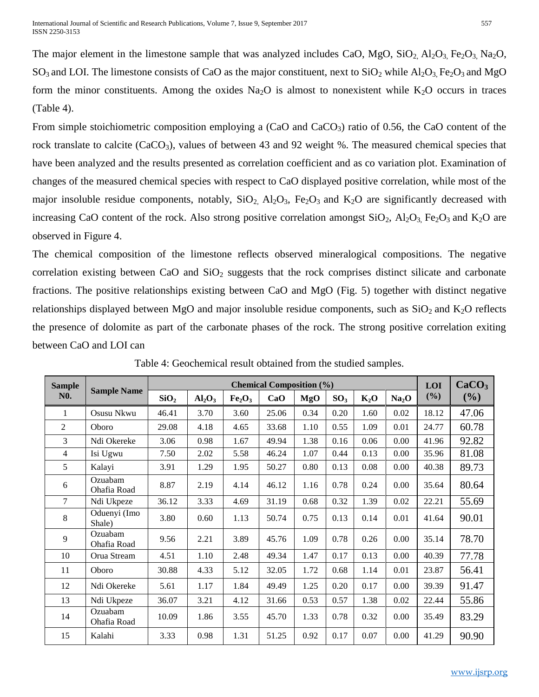The major element in the limestone sample that was analyzed includes CaO, MgO,  $SiO_2$ ,  $Al_2O_3$ ,  $Fe_2O_3$ ,  $Na_2O$ ,  $SO_3$  and LOI. The limestone consists of CaO as the major constituent, next to  $SiO_2$  while  $Al_2O_3$ , Fe<sub>2</sub>O<sub>3</sub> and MgO form the minor constituents. Among the oxides  $Na<sub>2</sub>O$  is almost to nonexistent while  $K<sub>2</sub>O$  occurs in traces (Table 4).

From simple stoichiometric composition employing a  $(CaO)$  and  $CaCO<sub>3</sub>$  ratio of 0.56, the CaO content of the rock translate to calcite (CaCO<sub>3</sub>), values of between 43 and 92 weight %. The measured chemical species that have been analyzed and the results presented as correlation coefficient and as co variation plot. Examination of changes of the measured chemical species with respect to CaO displayed positive correlation, while most of the major insoluble residue components, notably,  $SiO_2$ ,  $Al_2O_3$ ,  $Fe_2O_3$  and  $K_2O$  are significantly decreased with increasing CaO content of the rock. Also strong positive correlation amongst  $SiO_2$ ,  $Al_2O_3$ ,  $Fe_2O_3$  and  $K_2O$  are observed in Figure 4.

The chemical composition of the limestone reflects observed mineralogical compositions. The negative correlation existing between CaO and  $SiO<sub>2</sub>$  suggests that the rock comprises distinct silicate and carbonate fractions. The positive relationships existing between CaO and MgO (Fig. 5) together with distinct negative relationships displayed between MgO and major insoluble residue components, such as  $SiO<sub>2</sub>$  and  $K<sub>2</sub>O$  reflects the presence of dolomite as part of the carbonate phases of the rock. The strong positive correlation exiting between CaO and LOI can

| <b>Sample</b>    | <b>Sample Name</b>     |                  | <b>Chemical Composition (%)</b> |                                |       |      |                 |        | LOI               | CaCO <sub>3</sub> |        |
|------------------|------------------------|------------------|---------------------------------|--------------------------------|-------|------|-----------------|--------|-------------------|-------------------|--------|
| N <sub>0</sub> . |                        | SiO <sub>2</sub> | Al <sub>2</sub> O <sub>3</sub>  | Fe <sub>2</sub> O <sub>3</sub> | CaO   | MgO  | SO <sub>3</sub> | $K_2O$ | Na <sub>2</sub> O | (%)               | $(\%)$ |
| 1                | Osusu Nkwu             | 46.41            | 3.70                            | 3.60                           | 25.06 | 0.34 | 0.20            | 1.60   | 0.02              | 18.12             | 47.06  |
| $\overline{2}$   | Oboro                  | 29.08            | 4.18                            | 4.65                           | 33.68 | 1.10 | 0.55            | 1.09   | 0.01              | 24.77             | 60.78  |
| $\overline{3}$   | Ndi Okereke            | 3.06             | 0.98                            | 1.67                           | 49.94 | 1.38 | 0.16            | 0.06   | 0.00              | 41.96             | 92.82  |
| $\overline{4}$   | Isi Ugwu               | 7.50             | 2.02                            | 5.58                           | 46.24 | 1.07 | 0.44            | 0.13   | 0.00              | 35.96             | 81.08  |
| 5                | Kalayi                 | 3.91             | 1.29                            | 1.95                           | 50.27 | 0.80 | 0.13            | 0.08   | 0.00              | 40.38             | 89.73  |
| 6                | Ozuabam<br>Ohafia Road | 8.87             | 2.19                            | 4.14                           | 46.12 | 1.16 | 0.78            | 0.24   | 0.00              | 35.64             | 80.64  |
| $\tau$           | Ndi Ukpeze             | 36.12            | 3.33                            | 4.69                           | 31.19 | 0.68 | 0.32            | 1.39   | 0.02              | 22.21             | 55.69  |
| 8                | Oduenyi (Imo<br>Shale) | 3.80             | 0.60                            | 1.13                           | 50.74 | 0.75 | 0.13            | 0.14   | 0.01              | 41.64             | 90.01  |
| 9                | Ozuabam<br>Ohafia Road | 9.56             | 2.21                            | 3.89                           | 45.76 | 1.09 | 0.78            | 0.26   | 0.00              | 35.14             | 78.70  |
| 10               | Orua Stream            | 4.51             | 1.10                            | 2.48                           | 49.34 | 1.47 | 0.17            | 0.13   | 0.00              | 40.39             | 77.78  |
| 11               | Oboro                  | 30.88            | 4.33                            | 5.12                           | 32.05 | 1.72 | 0.68            | 1.14   | 0.01              | 23.87             | 56.41  |
| 12               | Ndi Okereke            | 5.61             | 1.17                            | 1.84                           | 49.49 | 1.25 | 0.20            | 0.17   | 0.00              | 39.39             | 91.47  |
| 13               | Ndi Ukpeze             | 36.07            | 3.21                            | 4.12                           | 31.66 | 0.53 | 0.57            | 1.38   | 0.02              | 22.44             | 55.86  |
| 14               | Ozuabam<br>Ohafia Road | 10.09            | 1.86                            | 3.55                           | 45.70 | 1.33 | 0.78            | 0.32   | 0.00              | 35.49             | 83.29  |
| 15               | Kalahi                 | 3.33             | 0.98                            | 1.31                           | 51.25 | 0.92 | 0.17            | 0.07   | 0.00              | 41.29             | 90.90  |

Table 4: Geochemical result obtained from the studied samples.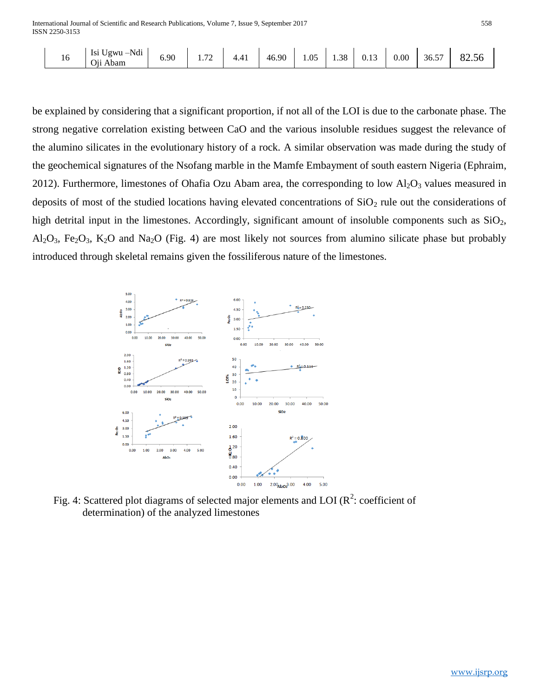| <b>A T 11</b><br>!gwu<br>101<br>$-Nd1$<br>191<br>$\overline{a}$<br>6.90<br>ാറ<br>$\sim$ $\sim$<br>$-$<br>$\Omega$<br>4 A*<br>0.00<br>46.90<br>36.5<br>10<br>1.38<br>1.VJ<br>∪.⊥J<br>T. T 1<br><b>1.14</b><br>$\sim \cdot \cdot$<br>Abam<br>U11 | 82.JO |
|------------------------------------------------------------------------------------------------------------------------------------------------------------------------------------------------------------------------------------------------|-------|
|------------------------------------------------------------------------------------------------------------------------------------------------------------------------------------------------------------------------------------------------|-------|

be explained by considering that a significant proportion, if not all of the LOI is due to the carbonate phase. The strong negative correlation existing between CaO and the various insoluble residues suggest the relevance of the alumino silicates in the evolutionary history of a rock. A similar observation was made during the study of the geochemical signatures of the Nsofang marble in the Mamfe Embayment of south eastern Nigeria (Ephraim, 2012). Furthermore, limestones of Ohafia Ozu Abam area, the corresponding to low  $Al_2O_3$  values measured in deposits of most of the studied locations having elevated concentrations of  $SiO<sub>2</sub>$  rule out the considerations of high detrital input in the limestones. Accordingly, significant amount of insoluble components such as  $SiO<sub>2</sub>$ ,  $Al_2O_3$ , Fe<sub>2</sub>O<sub>3</sub>, K<sub>2</sub>O and Na<sub>2</sub>O (Fig. 4) are most likely not sources from alumino silicate phase but probably introduced through skeletal remains given the fossiliferous nature of the limestones.



Fig. 4: Scattered plot diagrams of selected major elements and LOI ( $\mathbb{R}^2$ : coefficient of determination) of the analyzed limestones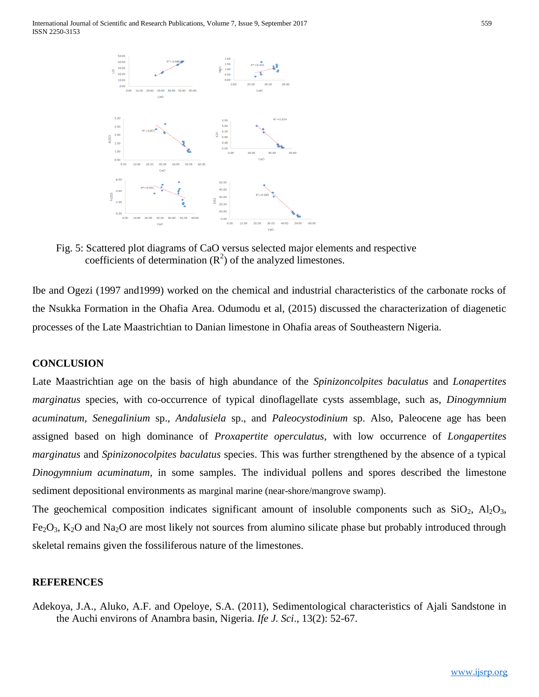International Journal of Scientific and Research Publications, Volume 7, Issue 9, September 2017 559 ISSN 2250-3153



 Fig. 5: Scattered plot diagrams of CaO versus selected major elements and respective coefficients of determination  $(R<sup>2</sup>)$  of the analyzed limestones.

Ibe and Ogezi (1997 and1999) worked on the chemical and industrial characteristics of the carbonate rocks of the Nsukka Formation in the Ohafia Area. Odumodu et al, (2015) discussed the characterization of diagenetic processes of the Late Maastrichtian to Danian limestone in Ohafia areas of Southeastern Nigeria.

#### **CONCLUSION**

Late Maastrichtian age on the basis of high abundance of the *Spinizoncolpites baculatus* and *Lonapertites marginatus* species, with co-occurrence of typical dinoflagellate cysts assemblage, such as, *Dinogymnium acuminatum*, *Senegalinium* sp., *Andalusiela* sp., and *Paleocystodinium* sp. Also, Paleocene age has been assigned based on high dominance of *Proxapertite operculatus*, with low occurrence of *Longapertites marginatus* and *Spinizonocolpites baculatus* species. This was further strengthened by the absence of a typical *Dinogymnium acuminatum,* in some samples. The individual pollens and spores described the limestone sediment depositional environments as marginal marine (near-shore/mangrove swamp).

The geochemical composition indicates significant amount of insoluble components such as  $SiO_2$ ,  $Al_2O_3$ ,  $Fe<sub>2</sub>O<sub>3</sub>$ , K<sub>2</sub>O and Na<sub>2</sub>O are most likely not sources from alumino silicate phase but probably introduced through skeletal remains given the fossiliferous nature of the limestones.

#### **REFERENCES**

Adekoya, J.A., Aluko, A.F. and Opeloye, S.A. (2011), Sedimentological characteristics of Ajali Sandstone in the Auchi environs of Anambra basin, Nigeria. *Ife J. Sci*., 13(2): 52-67.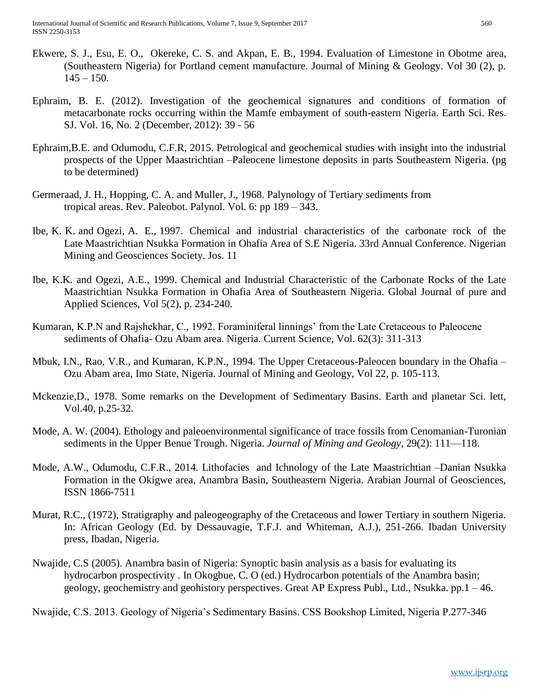- Ekwere, S. J., Esu, E. O., Okereke, C. S. and Akpan, E. B., 1994. Evaluation of Limestone in Obotme area, (Southeastern Nigeria) for Portland cement manufacture. Journal of Mining & Geology. Vol 30 (2), p.  $145 - 150$ .
- Ephraim, B. E. (2012). Investigation of the geochemical signatures and conditions of formation of metacarbonate rocks occurring within the Mamfe embayment of south-eastern Nigeria. Earth Sci. Res. SJ. Vol. 16, No. 2 (December, 2012): 39 - 56
- Ephraim,B.E. and Odumodu, C.F.R, 2015. Petrological and geochemical studies with insight into the industrial prospects of the Upper Maastrichtian –Paleocene limestone deposits in parts Southeastern Nigeria. (pg to be determined)
- Germeraad, J. H., Hopping, C. A. and Muller, J., 1968. Palynology of Tertiary sediments from tropical areas. Rev. Paleobot. Palynol. Vol. 6: pp 189 – 343.
- Ibe, K. K. and Ogezi, A. E., 1997. Chemical and industrial characteristics of the carbonate rock of the Late Maastrichtian Nsukka Formation in Ohafia Area of S.E Nigeria. 33rd Annual Conference. Nigerian Mining and Geosciences Society. Jos. 11
- Ibe, K.K. and Ogezi, A.E., 1999. Chemical and Industrial Characteristic of the Carbonate Rocks of the Late Maastrichtian Nsukka Formation in Ohafia Area of Southeastern Nigeria. Global Journal of pure and Applied Sciences, Vol 5(2), p. 234-240.
- Kumaran, K.P.N and Rajshekhar, C., 1992. Foraminiferal linnings' from the Late Cretaceous to Paleocene sediments of Ohafia- Ozu Abam area. Nigeria. Current Science, Vol. 62(3): 311-313
- Mbuk, I.N., Rao, V.R., and Kumaran, K.P.N., 1994. The Upper Cretaceous-Paleocen boundary in the Ohafia Ozu Abam area, Imo State, Nigeria. Journal of Mining and Geology, Vol 22, p. 105-113.
- Mckenzie,D., 1978. Some remarks on the Development of Sedimentary Basins. Earth and planetar Sci. lett, Vol.40, p.25-32.
- Mode, A. W. (2004). Ethology and paleoenvironmental significance of trace fossils from Cenomanian-Turonian sediments in the Upper Benue Trough. Nigeria. *Journal of Mining and Geology*, 29(2): 111—118.
- Mode, A.W., Odumodu, C.F.R., 2014. Lithofacies and Ichnology of the Late Maastrichtian –Danian Nsukka Formation in the Okigwe area, Anambra Basin, Southeastern Nigeria. Arabian Journal of Geosciences, ISSN 1866-7511
- Murat, R.C., (1972), Stratigraphy and paleogeography of the Cretaceous and lower Tertiary in southern Nigeria. In: African Geology (Ed. by Dessauvagie, T.F.J. and Whiteman, A.J.), 251-266. Ibadan University press, Ibadan, Nigeria.
- Nwajide, C.S (2005). Anambra basin of Nigeria: Synoptic basin analysis as a basis for evaluating its hydrocarbon prospectivity . In Okogbue, C. O (ed.) Hydrocarbon potentials of the Anambra basin; geology, geochemistry and geohistory perspectives. Great AP Express Publ., Ltd., Nsukka. pp.1 – 46.

Nwajide, C.S. 2013. Geology of Nigeria's Sedimentary Basins. CSS Bookshop Limited, Nigeria P.277-346